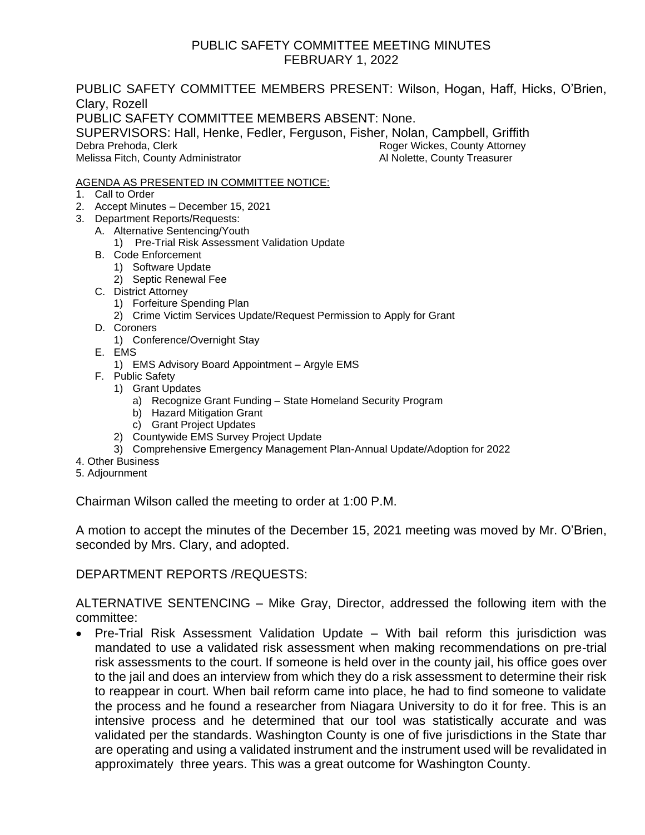#### PUBLIC SAFETY COMMITTEE MEETING MINUTES FEBRUARY 1, 2022

PUBLIC SAFETY COMMITTEE MEMBERS PRESENT: Wilson, Hogan, Haff, Hicks, O'Brien, Clary, Rozell PUBLIC SAFETY COMMITTEE MEMBERS ABSENT: None. SUPERVISORS: Hall, Henke, Fedler, Ferguson, Fisher, Nolan, Campbell, Griffith Debra Prehoda, Clerk **Roger Attorney Roger Wickes, County Attorney** Melissa Fitch, County Administrator **All Nolette, County Treasurer** Al Nolette, County Treasurer

#### AGENDA AS PRESENTED IN COMMITTEE NOTICE:

- 1. Call to Order
- 2. Accept Minutes December 15, 2021
- 3. Department Reports/Requests:
	- A. Alternative Sentencing/Youth
		- 1) Pre-Trial Risk Assessment Validation Update
	- B. Code Enforcement
		- 1) Software Update
		- 2) Septic Renewal Fee
	- C. District Attorney
		- 1) Forfeiture Spending Plan
		- 2) Crime Victim Services Update/Request Permission to Apply for Grant
	- D. Coroners
		- 1) Conference/Overnight Stay
	- E. EMS
		- 1) EMS Advisory Board Appointment Argyle EMS
	- F. Public Safety
		- 1) Grant Updates
			- a) Recognize Grant Funding State Homeland Security Program
			- b) Hazard Mitigation Grant
			- c) Grant Project Updates
		- 2) Countywide EMS Survey Project Update
		- 3) Comprehensive Emergency Management Plan-Annual Update/Adoption for 2022
- 4. Other Business
- 5. Adjournment

Chairman Wilson called the meeting to order at 1:00 P.M.

A motion to accept the minutes of the December 15, 2021 meeting was moved by Mr. O'Brien, seconded by Mrs. Clary, and adopted.

DEPARTMENT REPORTS /REQUESTS:

ALTERNATIVE SENTENCING – Mike Gray, Director, addressed the following item with the committee:

• Pre-Trial Risk Assessment Validation Update – With bail reform this jurisdiction was mandated to use a validated risk assessment when making recommendations on pre-trial risk assessments to the court. If someone is held over in the county jail, his office goes over to the jail and does an interview from which they do a risk assessment to determine their risk to reappear in court. When bail reform came into place, he had to find someone to validate the process and he found a researcher from Niagara University to do it for free. This is an intensive process and he determined that our tool was statistically accurate and was validated per the standards. Washington County is one of five jurisdictions in the State thar are operating and using a validated instrument and the instrument used will be revalidated in approximately three years. This was a great outcome for Washington County.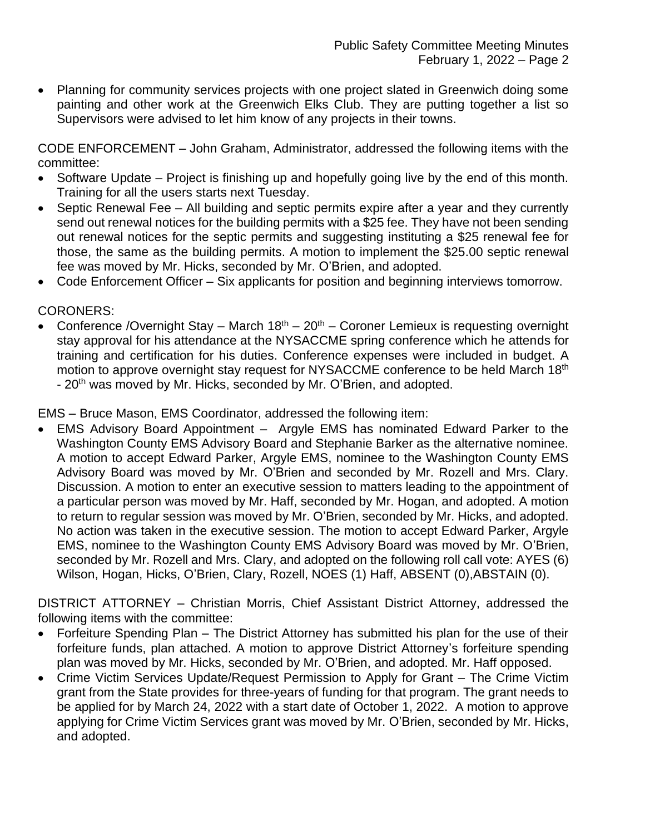• Planning for community services projects with one project slated in Greenwich doing some painting and other work at the Greenwich Elks Club. They are putting together a list so Supervisors were advised to let him know of any projects in their towns.

CODE ENFORCEMENT – John Graham, Administrator, addressed the following items with the committee:

- Software Update Project is finishing up and hopefully going live by the end of this month. Training for all the users starts next Tuesday.
- Septic Renewal Fee All building and septic permits expire after a year and they currently send out renewal notices for the building permits with a \$25 fee. They have not been sending out renewal notices for the septic permits and suggesting instituting a \$25 renewal fee for those, the same as the building permits. A motion to implement the \$25.00 septic renewal fee was moved by Mr. Hicks, seconded by Mr. O'Brien, and adopted.
- Code Enforcement Officer Six applicants for position and beginning interviews tomorrow.

CORONERS:

• Conference /Overnight Stay – March  $18<sup>th</sup>$  – 20<sup>th</sup> – Coroner Lemieux is requesting overnight stay approval for his attendance at the NYSACCME spring conference which he attends for training and certification for his duties. Conference expenses were included in budget. A motion to approve overnight stay request for NYSACCME conference to be held March 18<sup>th</sup> - 20<sup>th</sup> was moved by Mr. Hicks, seconded by Mr. O'Brien, and adopted.

EMS – Bruce Mason, EMS Coordinator, addressed the following item:

• EMS Advisory Board Appointment – Argyle EMS has nominated Edward Parker to the Washington County EMS Advisory Board and Stephanie Barker as the alternative nominee. A motion to accept Edward Parker, Argyle EMS, nominee to the Washington County EMS Advisory Board was moved by Mr. O'Brien and seconded by Mr. Rozell and Mrs. Clary. Discussion. A motion to enter an executive session to matters leading to the appointment of a particular person was moved by Mr. Haff, seconded by Mr. Hogan, and adopted. A motion to return to regular session was moved by Mr. O'Brien, seconded by Mr. Hicks, and adopted. No action was taken in the executive session. The motion to accept Edward Parker, Argyle EMS, nominee to the Washington County EMS Advisory Board was moved by Mr. O'Brien, seconded by Mr. Rozell and Mrs. Clary, and adopted on the following roll call vote: AYES (6) Wilson, Hogan, Hicks, O'Brien, Clary, Rozell, NOES (1) Haff, ABSENT (0), ABSTAIN (0).

DISTRICT ATTORNEY – Christian Morris, Chief Assistant District Attorney, addressed the following items with the committee:

- Forfeiture Spending Plan The District Attorney has submitted his plan for the use of their forfeiture funds, plan attached. A motion to approve District Attorney's forfeiture spending plan was moved by Mr. Hicks, seconded by Mr. O'Brien, and adopted. Mr. Haff opposed.
- Crime Victim Services Update/Request Permission to Apply for Grant The Crime Victim grant from the State provides for three-years of funding for that program. The grant needs to be applied for by March 24, 2022 with a start date of October 1, 2022. A motion to approve applying for Crime Victim Services grant was moved by Mr. O'Brien, seconded by Mr. Hicks, and adopted.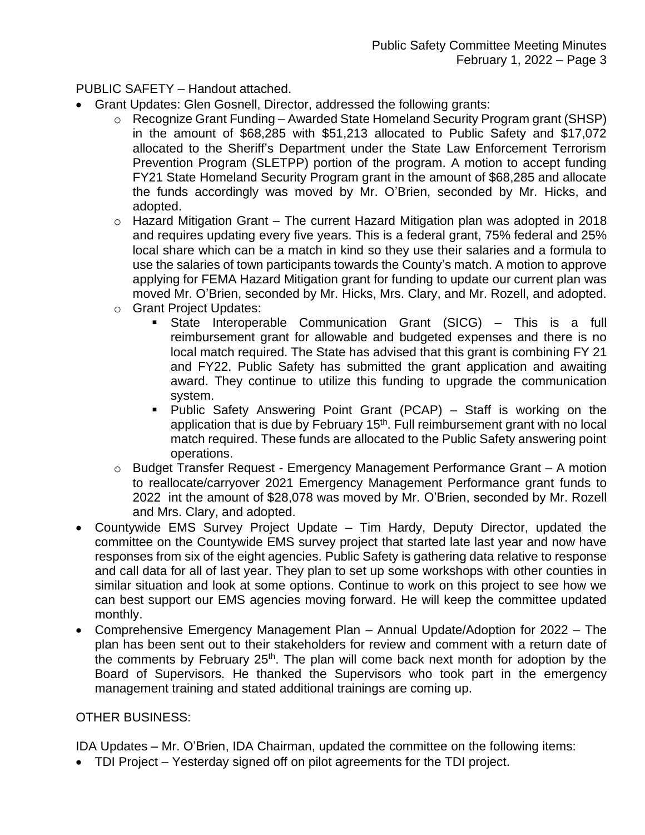PUBLIC SAFETY – Handout attached.

- Grant Updates: Glen Gosnell, Director, addressed the following grants:
	- o Recognize Grant Funding Awarded State Homeland Security Program grant (SHSP) in the amount of \$68,285 with \$51,213 allocated to Public Safety and \$17,072 allocated to the Sheriff's Department under the State Law Enforcement Terrorism Prevention Program (SLETPP) portion of the program. A motion to accept funding FY21 State Homeland Security Program grant in the amount of \$68,285 and allocate the funds accordingly was moved by Mr. O'Brien, seconded by Mr. Hicks, and adopted.
	- o Hazard Mitigation Grant The current Hazard Mitigation plan was adopted in 2018 and requires updating every five years. This is a federal grant, 75% federal and 25% local share which can be a match in kind so they use their salaries and a formula to use the salaries of town participants towards the County's match. A motion to approve applying for FEMA Hazard Mitigation grant for funding to update our current plan was moved Mr. O'Brien, seconded by Mr. Hicks, Mrs. Clary, and Mr. Rozell, and adopted.
	- o Grant Project Updates:
		- State Interoperable Communication Grant (SICG) This is a full reimbursement grant for allowable and budgeted expenses and there is no local match required. The State has advised that this grant is combining FY 21 and FY22. Public Safety has submitted the grant application and awaiting award. They continue to utilize this funding to upgrade the communication system.
		- Public Safety Answering Point Grant (PCAP) Staff is working on the application that is due by February 15<sup>th</sup>. Full reimbursement grant with no local match required. These funds are allocated to the Public Safety answering point operations.
	- o Budget Transfer Request Emergency Management Performance Grant A motion to reallocate/carryover 2021 Emergency Management Performance grant funds to 2022 int the amount of \$28,078 was moved by Mr. O'Brien, seconded by Mr. Rozell and Mrs. Clary, and adopted.
- Countywide EMS Survey Project Update Tim Hardy, Deputy Director, updated the committee on the Countywide EMS survey project that started late last year and now have responses from six of the eight agencies. Public Safety is gathering data relative to response and call data for all of last year. They plan to set up some workshops with other counties in similar situation and look at some options. Continue to work on this project to see how we can best support our EMS agencies moving forward. He will keep the committee updated monthly.
- Comprehensive Emergency Management Plan Annual Update/Adoption for 2022 The plan has been sent out to their stakeholders for review and comment with a return date of the comments by February 25<sup>th</sup>. The plan will come back next month for adoption by the Board of Supervisors. He thanked the Supervisors who took part in the emergency management training and stated additional trainings are coming up.

#### OTHER BUSINESS:

IDA Updates – Mr. O'Brien, IDA Chairman, updated the committee on the following items:

• TDI Project – Yesterday signed off on pilot agreements for the TDI project.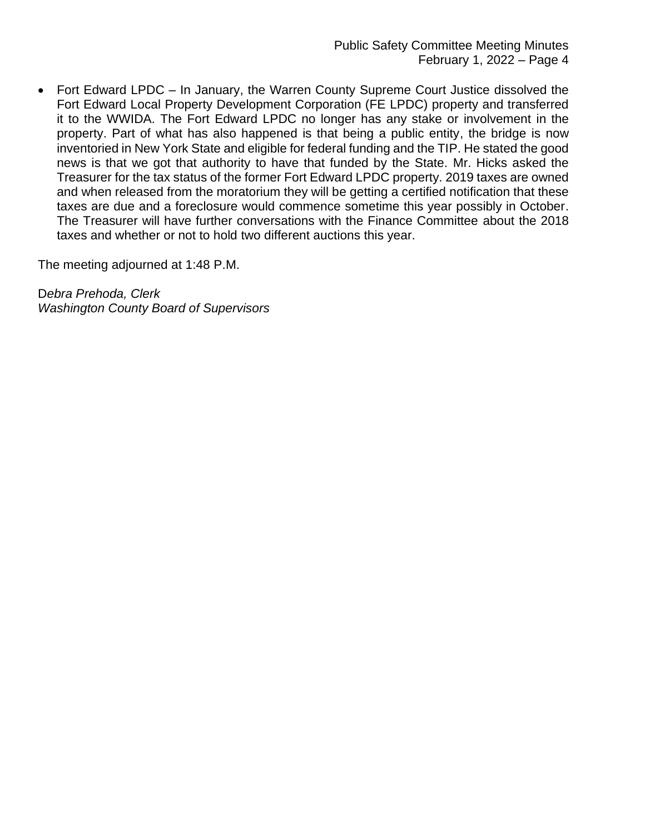• Fort Edward LPDC – In January, the Warren County Supreme Court Justice dissolved the Fort Edward Local Property Development Corporation (FE LPDC) property and transferred it to the WWIDA. The Fort Edward LPDC no longer has any stake or involvement in the property. Part of what has also happened is that being a public entity, the bridge is now inventoried in New York State and eligible for federal funding and the TIP. He stated the good news is that we got that authority to have that funded by the State. Mr. Hicks asked the Treasurer for the tax status of the former Fort Edward LPDC property. 2019 taxes are owned and when released from the moratorium they will be getting a certified notification that these taxes are due and a foreclosure would commence sometime this year possibly in October. The Treasurer will have further conversations with the Finance Committee about the 2018 taxes and whether or not to hold two different auctions this year.

The meeting adjourned at 1:48 P.M.

D*ebra Prehoda, Clerk Washington County Board of Supervisors*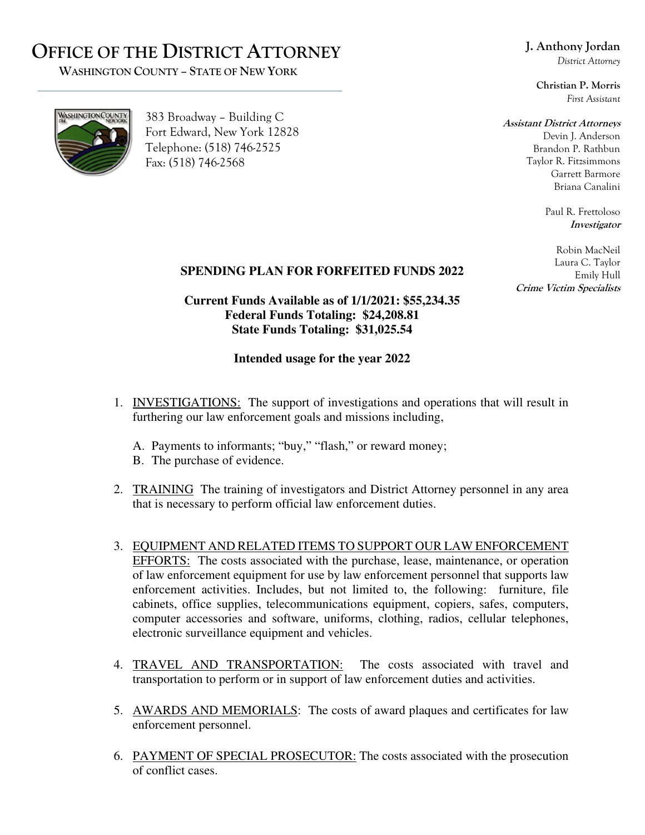## **OFFICE OF THE DISTRICT ATTORNEY**

 **WASHINGTON COUNTY – STATE OF NEW YORK**

### **J. Anthony Jordan**

*District Attorney* 

**Christian P. Morris**  *First Assistant* 

#### **Assistant District Attorneys**

Devin J. Anderson Brandon P. Rathbun Taylor R. Fitzsimmons Garrett Barmore Briana Canalini

> Paul R. Frettoloso **Investigator**

Robin MacNeil Laura C. Taylor Emily Hull **Crime Victim Specialists** 

#### **SPENDING PLAN FOR FORFEITED FUNDS 2022**

**Current Funds Available as of 1/1/2021: \$55,234.35 Federal Funds Totaling: \$24,208.81 State Funds Totaling: \$31,025.54** 

#### **Intended usage for the year 2022**

- 1. INVESTIGATIONS: The support of investigations and operations that will result in furthering our law enforcement goals and missions including,
	- A. Payments to informants; "buy," "flash," or reward money;
	- B. The purchase of evidence.
- 2. TRAINING The training of investigators and District Attorney personnel in any area that is necessary to perform official law enforcement duties.
- 3. EQUIPMENT AND RELATED ITEMS TO SUPPORT OUR LAW ENFORCEMENT EFFORTS: The costs associated with the purchase, lease, maintenance, or operation of law enforcement equipment for use by law enforcement personnel that supports law enforcement activities. Includes, but not limited to, the following: furniture, file cabinets, office supplies, telecommunications equipment, copiers, safes, computers, computer accessories and software, uniforms, clothing, radios, cellular telephones, electronic surveillance equipment and vehicles.
- 4. TRAVEL AND TRANSPORTATION: The costs associated with travel and transportation to perform or in support of law enforcement duties and activities.
- 5. AWARDS AND MEMORIALS: The costs of award plaques and certificates for law enforcement personnel.
- 6. PAYMENT OF SPECIAL PROSECUTOR: The costs associated with the prosecution of conflict cases.



383 Broadway – Building C Fort Edward, New York 12828 Telephone: (518) 746-2525 Fax: (518) 746-2568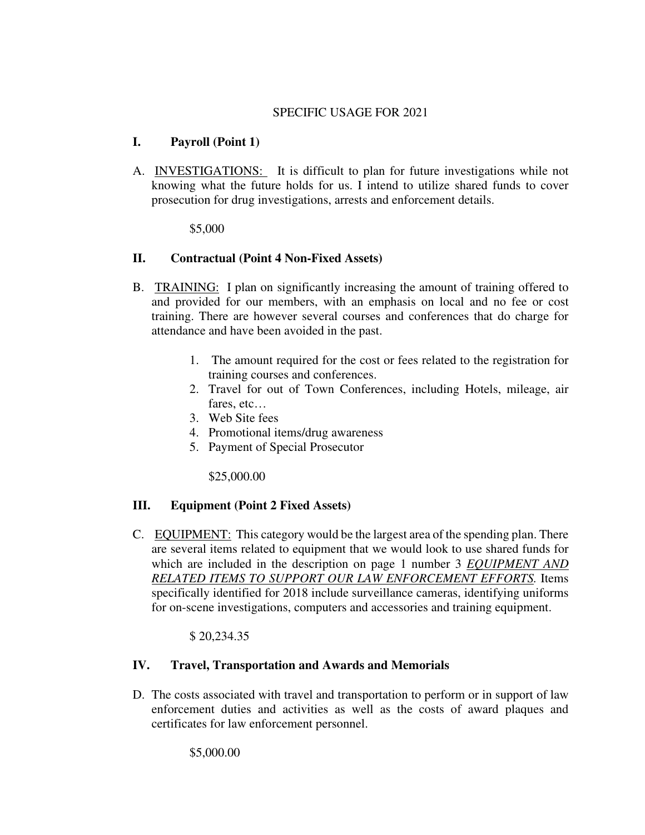#### SPECIFIC USAGE FOR 2021

#### **I. Payroll (Point 1)**

A. INVESTIGATIONS: It is difficult to plan for future investigations while not knowing what the future holds for us. I intend to utilize shared funds to cover prosecution for drug investigations, arrests and enforcement details.

\$5,000

#### **II. Contractual (Point 4 Non-Fixed Assets)**

- B. TRAINING: I plan on significantly increasing the amount of training offered to and provided for our members, with an emphasis on local and no fee or cost training. There are however several courses and conferences that do charge for attendance and have been avoided in the past.
	- 1. The amount required for the cost or fees related to the registration for training courses and conferences.
	- 2. Travel for out of Town Conferences, including Hotels, mileage, air fares, etc…
	- 3. Web Site fees
	- 4. Promotional items/drug awareness
	- 5. Payment of Special Prosecutor

\$25,000.00

#### **III. Equipment (Point 2 Fixed Assets)**

C. EQUIPMENT: This category would be the largest area of the spending plan. There are several items related to equipment that we would look to use shared funds for which are included in the description on page 1 number 3 *EQUIPMENT AND RELATED ITEMS TO SUPPORT OUR LAW ENFORCEMENT EFFORTS.* Items specifically identified for 2018 include surveillance cameras, identifying uniforms for on-scene investigations, computers and accessories and training equipment.

\$ 20,234.35

#### **IV. Travel, Transportation and Awards and Memorials**

D. The costs associated with travel and transportation to perform or in support of law enforcement duties and activities as well as the costs of award plaques and certificates for law enforcement personnel.

\$5,000.00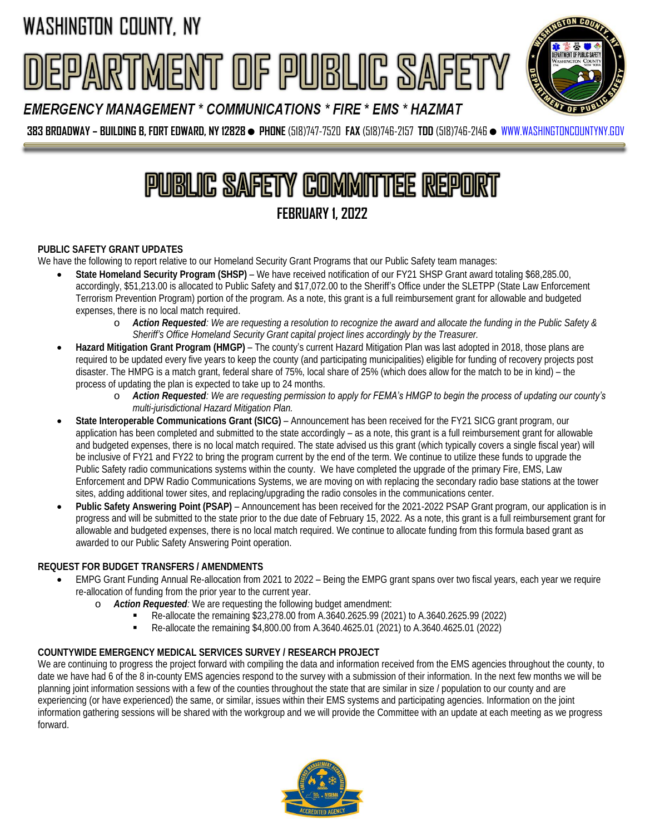# RTMENT OF PUBLIC SAFET



EMERGENCY MANAGEMENT \* COMMUNICATIONS \* FIRE \* EMS \* HAZMAT

**383 BROADWAY – BUILDING B, FORT EDWARD, NY 12828 PHONE**(518)747-7520 **FAX** (518)746-2157 **TDD** (518)746-2146 [WWW.WASHINGTONCOUNTYNY.GOV](http://www.washingtoncountyny.gov/)

# **PUBLIC SAFETY COMMITTEE REPORT FEBRUARY 1, 2022**

#### **PUBLIC SAFETY GRANT UPDATES**

We have the following to report relative to our Homeland Security Grant Programs that our Public Safety team manages:

- **State Homeland Security Program (SHSP)** We have received notification of our FY21 SHSP Grant award totaling \$68,285.00, accordingly, \$51,213.00 is allocated to Public Safety and \$17,072.00 to the Sheriff's Office under the SLETPP (State Law Enforcement Terrorism Prevention Program) portion of the program. As a note, this grant is a full reimbursement grant for allowable and budgeted expenses, there is no local match required.
	- o *Action Requested: We are requesting a resolution to recognize the award and allocate the funding in the Public Safety & Sheriff's Office Homeland Security Grant capital project lines accordingly by the Treasurer.*
- **Hazard Mitigation Grant Program (HMGP)** The county's current Hazard Mitigation Plan was last adopted in 2018, those plans are required to be updated every five years to keep the county (and participating municipalities) eligible for funding of recovery projects post disaster. The HMPG is a match grant, federal share of 75%, local share of 25% (which does allow for the match to be in kind) – the process of updating the plan is expected to take up to 24 months.
	- o *Action Requested: We are requesting permission to apply for FEMA's HMGP to begin the process of updating our county's multi-jurisdictional Hazard Mitigation Plan.*
- **State Interoperable Communications Grant (SICG)** Announcement has been received for the FY21 SICG grant program, our application has been completed and submitted to the state accordingly – as a note, this grant is a full reimbursement grant for allowable and budgeted expenses, there is no local match required. The state advised us this grant (which typically covers a single fiscal year) will be inclusive of FY21 and FY22 to bring the program current by the end of the term. We continue to utilize these funds to upgrade the Public Safety radio communications systems within the county. We have completed the upgrade of the primary Fire, EMS, Law Enforcement and DPW Radio Communications Systems, we are moving on with replacing the secondary radio base stations at the tower sites, adding additional tower sites, and replacing/upgrading the radio consoles in the communications center.
- **Public Safety Answering Point (PSAP)** Announcement has been received for the 2021-2022 PSAP Grant program, our application is in progress and will be submitted to the state prior to the due date of February 15, 2022. As a note, this grant is a full reimbursement grant for allowable and budgeted expenses, there is no local match required. We continue to allocate funding from this formula based grant as awarded to our Public Safety Answering Point operation.

#### **REQUEST FOR BUDGET TRANSFERS / AMENDMENTS**

- EMPG Grant Funding Annual Re-allocation from 2021 to 2022 Being the EMPG grant spans over two fiscal years, each year we require re-allocation of funding from the prior year to the current year.
	- o *Action Requested:* We are requesting the following budget amendment:
		- Re-allocate the remaining \$23,278.00 from A.3640.2625.99 (2021) to A.3640.2625.99 (2022)
		- Re-allocate the remaining \$4,800.00 from A.3640.4625.01 (2021) to A.3640.4625.01 (2022)

#### **COUNTYWIDE EMERGENCY MEDICAL SERVICES SURVEY / RESEARCH PROJECT**

We are continuing to progress the project forward with compiling the data and information received from the EMS agencies throughout the county, to date we have had 6 of the 8 in-county EMS agencies respond to the survey with a submission of their information. In the next few months we will be planning joint information sessions with a few of the counties throughout the state that are similar in size / population to our county and are experiencing (or have experienced) the same, or similar, issues within their EMS systems and participating agencies. Information on the joint information gathering sessions will be shared with the workgroup and we will provide the Committee with an update at each meeting as we progress forward.